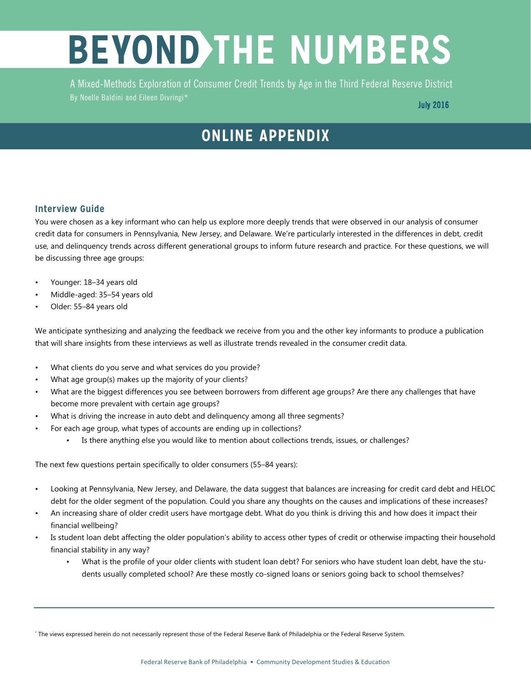## **BEYOND THE NUMBERS**

A Mixed-Methods Exploration of Consumer Credit Trends by Age in the Third Federal Reserve District By Noelle Baldini and Eileen Divringi\*

## **ONLINE APPENDIX**

## **Interview Guide**

You were chosen as a key informant who can help us explore more deeply trends that were observed in our analysis of consumer credit data for consumers in Pennsylvania, New Jersey, and Delaware. We're particularly interested in the differences in debt, credit use, and delinquency trends across different generational groups to inform future research and practice. For these questions, we will be discussing three age groups:

- Younger: 18–34 years old
- Middle-aged: 35–54 years old
- Older: 55–84 years old

We anticipate synthesizing and analyzing the feedback we receive from you and the other key informants to produce a publication that will share insights from these interviews as well as illustrate trends revealed in the consumer credit data.

- What clients do you serve and what services do you provide?
- What age group(s) makes up the majority of your clients?
- What are the biggest differences you see between borrowers from different age groups? Are there any challenges that have become more prevalent with certain age groups?
- What is driving the increase in auto debt and delinquency among all three segments?
- For each age group, what types of accounts are ending up in collections?
	- Is there anything else you would like to mention about collections trends, issues, or challenges?

The next few questions pertain specifically to older consumers (55–84 years):

- Looking at Pennsylvania, New Jersey, and Delaware, the data suggest that balances are increasing for credit card debt and HELOC debt for the older segment of the population. Could you share any thoughts on the causes and implications of these increases?
- An increasing share of older credit users have mortgage debt. What do you think is driving this and how does it impact their financial wellbeing?
- Is student loan debt affecting the older population's ability to access other types of credit or otherwise impacting their household financial stability in any way?
	- What is the profile of your older clients with student loan debt? For seniors who have student loan debt, have the students usually completed school? Are these mostly co-signed loans or seniors going back to school themselves?

<sup>\*</sup> The views expressed herein do not necessarily represent those of the Federal Reserve Bank of Philadelphia or the Federal Reserve System.